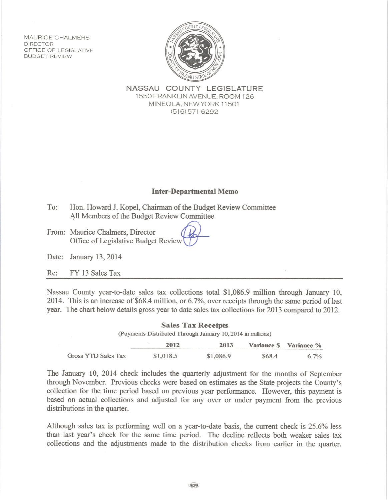MAURICE CHALMERS **DIRECTOR** OFFICE OF LEGISLATIVE **BUDGET REVIEW** 



NASSAU COUNTY LEGISLATURE 1550 FRANKLIN AVENUE, ROOM 126 MINEOLA, NEW YORK 11501  $(516)$  571-6292

## **Inter-Departmental Memo**

- To: Hon. Howard J. Kopel, Chairman of the Budget Review Committee All Members of the Budget Review Committee
- From: Maurice Chalmers, Director Office of Legislative Budget Review

Date: January 13, 2014

Re: FY 13 Sales Tax

Nassau County year-to-date sales tax collections total \$1,086.9 million through January 10, 2014. This is an increase of \$68.4 million, or 6.7%, over receipts through the same period of last year. The chart below details gross year to date sales tax collections for 2013 compared to 2012.

| <b>Sales Tax Receipts</b><br>(Payments Distributed Through January 10, 2014 in millions) |           |           |        |                        |
|------------------------------------------------------------------------------------------|-----------|-----------|--------|------------------------|
|                                                                                          | 2012      | 2013      |        | Variance \$ Variance % |
| Gross YTD Sales Tax                                                                      | \$1,018.5 | \$1,086.9 | \$68.4 | $6.7\%$                |

The January 10, 2014 check includes the quarterly adjustment for the months of September through November. Previous checks were based on estimates as the State projects the County's collection for the time period based on previous year performance. However, this payment is based on actual collections and adjusted for any over or under payment from the previous distributions in the quarter.

Although sales tax is performing well on a year-to-date basis, the current check is 25.6% less than last year's check for the same time period. The decline reflects both weaker sales tax collections and the adjustments made to the distribution checks from earlier in the quarter.